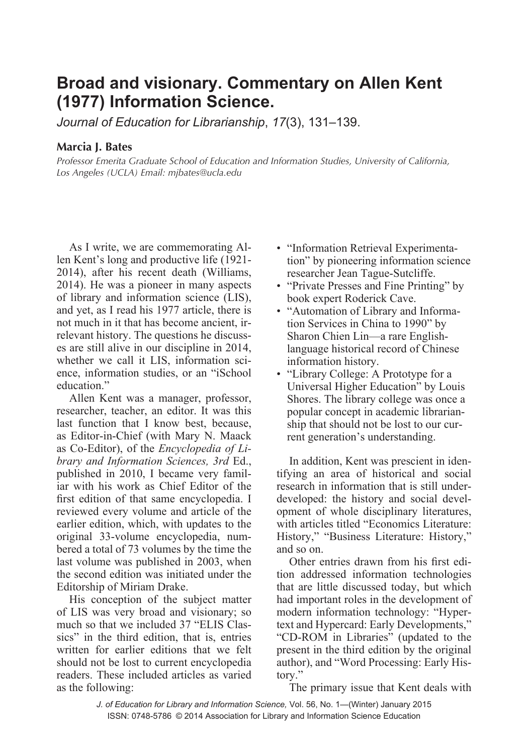## **Broad and visionary. Commentary on Allen Kent (1977) Information Science.**

*Journal of Education for Librarianship*, *17*(3), 131–139.

## **Marcia J. Bates**

*Professor Emerita Graduate School of Education and Information Studies, University of California, Los Angeles (UCLA) Email: mjbates@ucla.edu*

As I write, we are commemorating Allen Kent's long and productive life (1921- 2014), after his recent death (Williams, 2014). He was a pioneer in many aspects of library and information science (LIS), and yet, as I read his 1977 article, there is not much in it that has become ancient, irrelevant history. The questions he discusses are still alive in our discipline in 2014, whether we call it LIS, information science, information studies, or an "iSchool education"

Allen Kent was a manager, professor, researcher, teacher, an editor. It was this last function that I know best, because, as Editor-in-Chief (with Mary N. Maack as Co-Editor), of the *Encyclopedia of Library and Information Sciences, 3rd* Ed., published in 2010, I became very familiar with his work as Chief Editor of the first edition of that same encyclopedia. I reviewed every volume and article of the earlier edition, which, with updates to the original 33-volume encyclopedia, numbered a total of 73 volumes by the time the last volume was published in 2003, when the second edition was initiated under the Editorship of Miriam Drake.

His conception of the subject matter of LIS was very broad and visionary; so much so that we included 37 "ELIS Classics" in the third edition, that is, entries written for earlier editions that we felt should not be lost to current encyclopedia readers. These included articles as varied as the following:

- "Information Retrieval Experimentation" by pioneering information science researcher Jean Tague-Sutcliffe.
- "Private Presses and Fine Printing" by book expert Roderick Cave.
- "Automation of Library and Information Services in China to 1990" by Sharon Chien Lin—a rare Englishlanguage historical record of Chinese information history.
- "Library College: A Prototype for a Universal Higher Education" by Louis Shores. The library college was once a popular concept in academic librarianship that should not be lost to our current generation's understanding.

In addition, Kent was prescient in identifying an area of historical and social research in information that is still underdeveloped: the history and social development of whole disciplinary literatures, with articles titled "Economics Literature: History," "Business Literature: History," and so on.

Other entries drawn from his first edition addressed information technologies that are little discussed today, but which had important roles in the development of modern information technology: "Hypertext and Hypercard: Early Developments," "CD-ROM in Libraries" (updated to the present in the third edition by the original author), and "Word Processing: Early History."

The primary issue that Kent deals with